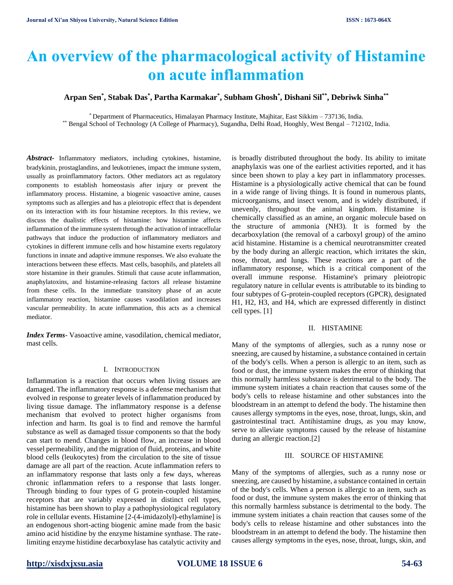# **An overview of the pharmacological activity of Histamine on acute inflammation**

## **Arpan Sen\* , Stabak Das\* , Partha Karmakar\* , Subham Ghosh\* , Dishani Sil\*\*, Debriwk Sinha\*\***

\* Department of Pharmaceutics, Himalayan Pharmacy Institute, Majhitar, East Sikkim – 737136, India. \*\* Bengal School of Technology (A College of Pharmacy), Sugandha, Delhi Road, Hooghly, West Bengal – 712102, India.

*Abstract-* Inflammatory mediators, including cytokines, histamine, bradykinin, prostaglandins, and leukotrienes, impact the immune system, usually as proinflammatory factors. Other mediators act as regulatory components to establish homeostasis after injury or prevent the inflammatory process. Histamine, a biogenic vasoactive amine, causes symptoms such as allergies and has a pleiotropic effect that is dependent on its interaction with its four histamine receptors. In this review, we discuss the dualistic effects of histamine: how histamine affects inflammation of the immune system through the activation of intracellular pathways that induce the production of inflammatory mediators and cytokines in different immune cells and how histamine exerts regulatory functions in innate and adaptive immune responses. We also evaluate the interactions between these effects. Mast cells, basophils, and platelets all store histamine in their granules. Stimuli that cause acute inflammation, anaphylatoxins, and histamine-releasing factors all release histamine from these cells. In the immediate transitory phase of an acute inflammatory reaction, histamine causes vasodilation and increases vascular permeability. In acute inflammation, this acts as a chemical mediator.

*Index Terms*- Vasoactive amine, vasodilation, chemical mediator, mast cells.

## I. INTRODUCTION

Inflammation is a reaction that occurs when living tissues are damaged. The inflammatory response is a defense mechanism that evolved in response to greater levels of inflammation produced by living tissue damage. The inflammatory response is a defense mechanism that evolved to protect higher organisms from infection and harm. Its goal is to find and remove the harmful substance as well as damaged tissue components so that the body can start to mend. Changes in blood flow, an increase in blood vessel permeability, and the migration of fluid, proteins, and white blood cells (leukocytes) from the circulation to the site of tissue damage are all part of the reaction. Acute inflammation refers to an inflammatory response that lasts only a few days, whereas chronic inflammation refers to a response that lasts longer. Through binding to four types of G protein-coupled histamine receptors that are variably expressed in distinct cell types, histamine has been shown to play a pathophysiological regulatory role in cellular events. Histamine [2-(4-imidazolyl)-ethylamine] is an endogenous short-acting biogenic amine made from the basic amino acid histidine by the enzyme histamine synthase. The ratelimiting enzyme histidine decarboxylase has catalytic activity and

is broadly distributed throughout the body. Its ability to imitate anaphylaxis was one of the earliest activities reported, and it has since been shown to play a key part in inflammatory processes. Histamine is a physiologically active chemical that can be found in a wide range of living things. It is found in numerous plants, microorganisms, and insect venom, and is widely distributed, if unevenly, throughout the animal kingdom. Histamine is chemically classified as an amine, an organic molecule based on the structure of ammonia (NH3). It is formed by the decarboxylation (the removal of a carboxyl group) of the amino acid histamine. Histamine is a chemical neurotransmitter created by the body during an allergic reaction, which irritates the skin, nose, throat, and lungs. These reactions are a part of the inflammatory response, which is a critical component of the overall immune response. Histamine's primary pleiotropic regulatory nature in cellular events is attributable to its binding to four subtypes of G-protein-coupled receptors (GPCR), designated H1, H2, H3, and H4, which are expressed differently in distinct cell types. [1]

## II. HISTAMINE

Many of the symptoms of allergies, such as a runny nose or sneezing, are caused by histamine, a substance contained in certain of the body's cells. When a person is allergic to an item, such as food or dust, the immune system makes the error of thinking that this normally harmless substance is detrimental to the body. The immune system initiates a chain reaction that causes some of the body's cells to release histamine and other substances into the bloodstream in an attempt to defend the body. The histamine then causes allergy symptoms in the eyes, nose, throat, lungs, skin, and gastrointestinal tract. Antihistamine drugs, as you may know, serve to alleviate symptoms caused by the release of histamine during an allergic reaction.[2]

## III. SOURCE OF HISTAMINE

Many of the symptoms of allergies, such as a runny nose or sneezing, are caused by histamine, a substance contained in certain of the body's cells. When a person is allergic to an item, such as food or dust, the immune system makes the error of thinking that this normally harmless substance is detrimental to the body. The immune system initiates a chain reaction that causes some of the body's cells to release histamine and other substances into the bloodstream in an attempt to defend the body. The histamine then causes allergy symptoms in the eyes, nose, throat, lungs, skin, and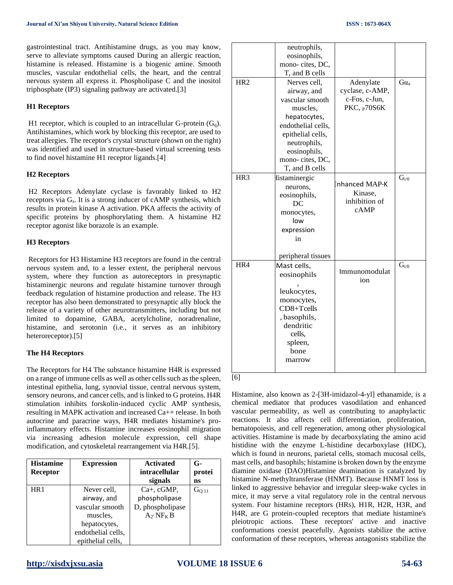gastrointestinal tract. Antihistamine drugs, as you may know, serve to alleviate symptoms caused During an allergic reaction, histamine is released. Histamine is a biogenic amine. Smooth muscles, vascular endothelial cells, the heart, and the central nervous system all express it. Phospholipase C and the inositol triphosphate (IP3) signaling pathway are activated.[3]

## **H1 Receptors**

H1 receptor, which is coupled to an intracellular G-protein  $(G_q)$ . Antihistamines, which work by blocking this receptor, are used to treat allergies. The receptor's crystal structure (shown on the right) was identified and used in structure-based virtual screening tests to find novel histamine H1 receptor ligands.[4]

## **H2 Receptors**

H2 Receptors Adenylate cyclase is favorably linked to H2 receptors via Gs. It is a strong inducer of cAMP synthesis, which results in protein kinase A activation. PKA affects the activity of specific proteins by phosphorylating them. A histamine H2 receptor agonist like borazole is an example.

### **H3 Receptors**

Receptors for H3 Histamine H3 receptors are found in the central nervous system and, to a lesser extent, the peripheral nervous system, where they function as autoreceptors in presynaptic histaminergic neurons and regulate histamine turnover through feedback regulation of histamine production and release. The H3 receptor has also been demonstrated to presynaptic ally block the release of a variety of other neurotransmitters, including but not limited to dopamine, GABA, acetylcholine, noradrenaline, histamine, and serotonin (i.e., it serves as an inhibitory heteroreceptor).[5]

#### **The H4 Receptors**

The Receptors for H4 The substance histamine H4R is expressed on a range of immune cells as well as other cells such as the spleen, intestinal epithelia, lung, synovial tissue, central nervous system, sensory neurons, and cancer cells, and is linked to G proteins. H4R stimulation inhibits forskolin-induced cyclic AMP synthesis, resulting in MAPK activation and increased Ca++ release. In both autocrine and paracrine ways, H4R mediates histamine's proinflammatory effects. Histamine increases eosinophil migration via increasing adhesion molecule expression, cell shape modification, and cytoskeletal rearrangement via H4R.[5].

| <b>Histamine</b> | <b>Expression</b>  | <b>Activated</b>                 | $G-$             |
|------------------|--------------------|----------------------------------|------------------|
| <b>Receptor</b>  |                    | intracellular                    | protei           |
|                  |                    | signals                          | ns               |
| HR1              | Never cell,        | $Ca+$ , $cGMP$ ,                 | G <sub>011</sub> |
|                  | airway, and        | phospholipase                    |                  |
|                  | vascular smooth    | D, phospholipase                 |                  |
|                  | muscles.           | $A_2$ <sup>NF<sub>K</sub>B</sup> |                  |
|                  | hepatocytes,       |                                  |                  |
|                  | endothelial cells, |                                  |                  |
|                  | epithelial cells,  |                                  |                  |

|                 | neutrophils,         |                 |                 |
|-----------------|----------------------|-----------------|-----------------|
|                 | eosinophils,         |                 |                 |
|                 | mono-cites, DC,      |                 |                 |
|                 | T, and B cells       |                 |                 |
| HR <sub>2</sub> | Nerves cell,         | Adenylate       | Ga <sub>a</sub> |
|                 | airway, and          | cyclase, c-AMP, |                 |
|                 | vascular smooth      | c-Fos, c-Jun,   |                 |
|                 | muscles.             | PKC, p70S6K     |                 |
|                 | hepatocytes,         |                 |                 |
|                 | endothelial cells,   |                 |                 |
|                 | epithelial cells,    |                 |                 |
|                 | neutrophils,         |                 |                 |
|                 | eosinophils,         |                 |                 |
|                 | mono-cites, DC,      |                 |                 |
|                 | T, and B cells       |                 |                 |
| HR <sub>3</sub> | <b>Histaminergic</b> |                 | $G_{i/0}$       |
|                 | neurons,             | Enhanced MAP-K  |                 |
|                 | eosinophils,         | Kinase,         |                 |
|                 | DC                   | inhibition of   |                 |
|                 | monocytes,           | cAMP            |                 |
|                 | low                  |                 |                 |
|                 | expression           |                 |                 |
|                 | in                   |                 |                 |
|                 |                      |                 |                 |
|                 | peripheral tissues   |                 |                 |
| HR4             | Mast cells,          | Immunomodulat   | $G_{i/0}$       |
|                 | eosinophils          |                 |                 |
|                 |                      | ion             |                 |
|                 | leukocytes,          |                 |                 |
|                 | monocytes,           |                 |                 |
|                 | CD8+Tcells           |                 |                 |
|                 | , basophils,         |                 |                 |
|                 | dendritic            |                 |                 |
|                 | cells,               |                 |                 |
|                 | spleen,              |                 |                 |
|                 | bone                 |                 |                 |
|                 | marrow               |                 |                 |
|                 |                      |                 |                 |

[6]

Histamine, also known as 2-[3H-imidazol-4-yl] ethanamide, is a chemical mediator that produces vasodilation and enhanced vascular permeability, as well as contributing to anaphylactic reactions. It also affects cell differentiation, proliferation, hematopoiesis, and cell regeneration, among other physiological activities. Histamine is made by decarboxylating the amino acid histidine with the enzyme L-histidine decarboxylase (HDC), which is found in neurons, parietal cells, stomach mucosal cells, mast cells, and basophils; histamine is broken down by the enzyme diamine oxidase (DAO)Histamine deamination is catalyzed by histamine N-methyltransferase (HNMT). Because HNMT loss is linked to aggressive behavior and irregular sleep-wake cycles in mice, it may serve a vital regulatory role in the central nervous system. Four histamine receptors (HRs), H1R, H2R, H3R, and H4R, are G protein-coupled receptors that mediate histamine's pleiotropic actions. These receptors' active and inactive conformations coexist peacefully. Agonists stabilize the active conformation of these receptors, whereas antagonists stabilize the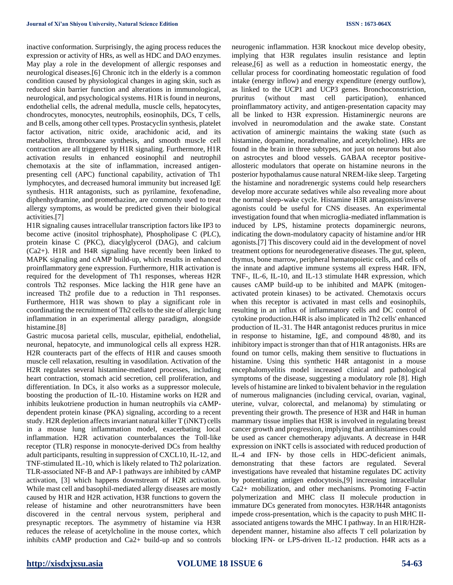inactive conformation. Surprisingly, the aging process reduces the expression or activity of HRs, as well as HDC and DAO enzymes. May play a role in the development of allergic responses and neurological diseases.[6] Chronic itch in the elderly is a common condition caused by physiological changes in aging skin, such as reduced skin barrier function and alterations in immunological, neurological, and psychological systems. H1R is found in neurons, endothelial cells, the adrenal medulla, muscle cells, hepatocytes, chondrocytes, monocytes, neutrophils, eosinophils, DCs, T cells, and B cells, among other cell types. Prostacyclin synthesis, platelet factor activation, nitric oxide, arachidonic acid, and its metabolites, thromboxane synthesis, and smooth muscle cell contraction are all triggered by H1R signaling. Furthermore, H1R activation results in enhanced eosinophil and neutrophil chemotaxis at the site of inflammation, increased antigenpresenting cell (APC) functional capability, activation of Th1 lymphocytes, and decreased humoral immunity but increased IgE synthesis. H1R antagonists, such as pyrilamine, fexofenadine, diphenhydramine, and promethazine, are commonly used to treat allergy symptoms, as would be predicted given their biological activities.[7]

H1R signaling causes intracellular transcription factors like IP3 to become active (inositol triphosphate), Phospholipase C (PLC), protein kinase C (PKC), diacylglycerol (DAG), and calcium (Ca2+). H1R and H4R signaling have recently been linked to MAPK signaling and cAMP build-up, which results in enhanced proinflammatory gene expression. Furthermore, H1R activation is required for the development of Th1 responses, whereas H2R controls Th2 responses. Mice lacking the H1R gene have an increased Th2 profile due to a reduction in Th1 responses. Furthermore, H1R was shown to play a significant role in coordinating the recruitment of Th2 cells to the site of allergic lung inflammation in an experimental allergy paradigm, alongside histamine.[8]

Gastric mucosa parietal cells, muscular, epithelial, endothelial, neuronal, hepatocyte, and immunological cells all express H2R. H2R counteracts part of the effects of H1R and causes smooth muscle cell relaxation, resulting in vasodilation. Activation of the H2R regulates several histamine-mediated processes, including heart contraction, stomach acid secretion, cell proliferation, and differentiation. In DCs, it also works as a suppressor molecule, boosting the production of IL-10. Histamine works on H2R and inhibits leukotriene production in human neutrophils via cAMPdependent protein kinase (PKA) signaling, according to a recent study. H2R depletion affectsinvariant natural killer T (iNKT) cells in a mouse lung inflammation model, exacerbating local inflammation. H2R activation counterbalances the Toll-like receptor (TLR) response in monocyte-derived DCs from healthy adult participants, resulting in suppression of CXCL10, IL-12, and TNF-stimulated IL-10, which is likely related to Th2 polarization. TLR-associated NF-B and AP-1 pathways are inhibited by cAMP activation, [3] which happens downstream of H2R activation. While mast cell and basophil-mediated allergy diseases are mostly caused by H1R and H2R activation, H3R functions to govern the release of histamine and other neurotransmitters have been discovered in the central nervous system, peripheral and presynaptic receptors. The asymmetry of histamine via H3R reduces the release of acetylcholine in the mouse cortex, which inhibits cAMP production and Ca2+ build-up and so controls

neurogenic inflammation. H3R knockout mice develop obesity, implying that H3R regulates insulin resistance and leptin release,[6] as well as a reduction in homeostatic energy, the cellular process for coordinating homeostatic regulation of food intake (energy inflow) and energy expenditure (energy outflow), as linked to the UCP1 and UCP3 genes. Bronchoconstriction, pruritus (without mast cell participation), enhanced proinflammatory activity, and antigen-presentation capacity may all be linked to H3R expression. Histaminergic neurons are involved in neuromodulation and the awake state. Constant activation of aminergic maintains the waking state (such as histamine, dopamine, noradrenaline, and acetylcholine). HRs are found in the brain in three subtypes, not just on neurons but also on astrocytes and blood vessels. GABAA receptor positiveallosteric modulators that operate on histamine neurons in the posterior hypothalamus cause natural NREM-like sleep. Targeting the histamine and noradrenergic systems could help researchers develop more accurate sedatives while also revealing more about the normal sleep-wake cycle. Histamine H3R antagonists/inverse agonists could be useful for CNS diseases. An experimental investigation found that when microglia-mediated inflammation is induced by LPS, histamine protects dopaminergic neurons, indicating the down-modulatory capacity of histamine and/or HR agonists.[7] This discovery could aid in the development of novel treatment options for neurodegenerative diseases. The gut, spleen, thymus, bone marrow, peripheral hematopoietic cells, and cells of the innate and adaptive immune systems all express H4R. IFN, TNF-, IL-6, IL-10, and IL-13 stimulate H4R expression, which causes cAMP build-up to be inhibited and MAPK (mitogenactivated protein kinases) to be activated. Chemotaxis occurs when this receptor is activated in mast cells and eosinophils, resulting in an influx of inflammatory cells and DC control of cytokine production.H4R is also implicated in Th2 cells' enhanced production of IL-31. The H4R antagonist reduces pruritus in mice in response to histamine, IgE, and compound 48/80, and its inhibitory impact is stronger than that of H1R antagonists. HRs are found on tumor cells, making them sensitive to fluctuations in histamine. Using this synthetic H4R antagonist in a mouse encephalomyelitis model increased clinical and pathological symptoms of the disease, suggesting a modulatory role [8]. High levels of histamine are linked to bivalent behavior in the regulation of numerous malignancies (including cervical, ovarian, vaginal, uterine, vulvar, colorectal, and melanoma) by stimulating or preventing their growth. The presence of H3R and H4R in human mammary tissue implies that H3R is involved in regulating breast cancer growth and progression, implying that antihistamines could be used as cancer chemotherapy adjuvants. A decrease in H4R expression on iNKT cells is associated with reduced production of IL-4 and IFN- by those cells in HDC-deficient animals, demonstrating that these factors are regulated. Several investigations have revealed that histamine regulates DC activity by potentiating antigen endocytosis,[9] increasing intracellular Ca2+ mobilization, and other mechanisms. Promoting F-actin polymerization and MHC class II molecule production in immature DCs generated from monocytes. H3R/H4R antagonists impede cross-presentation, which is the capacity to push MHC IIassociated antigens towards the MHC I pathway. In an H1R/H2Rdependent manner, histamine also affects T cell polarization by blocking IFN- or LPS-driven IL-12 production. H4R acts as a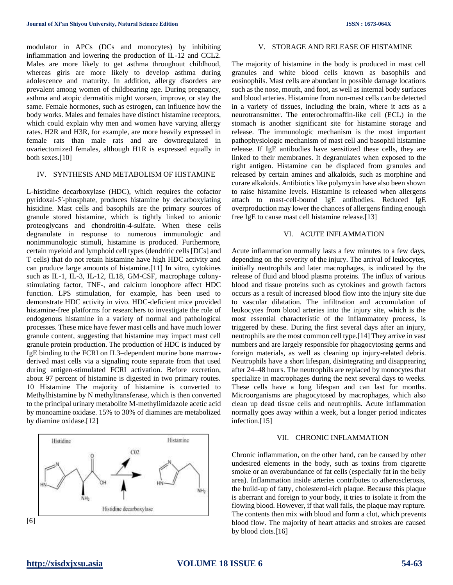modulator in APCs (DCs and monocytes) by inhibiting inflammation and lowering the production of IL-12 and CCL2. Males are more likely to get asthma throughout childhood, whereas girls are more likely to develop asthma during adolescence and maturity. In addition, allergy disorders are prevalent among women of childbearing age. During pregnancy, asthma and atopic dermatitis might worsen, improve, or stay the same. Female hormones, such as estrogen, can influence how the body works. Males and females have distinct histamine receptors, which could explain why men and women have varying allergy rates. H2R and H3R, for example, are more heavily expressed in female rats than male rats and are downregulated in ovariectomized females, although H1R is expressed equally in both sexes.[10]

## IV. SYNTHESIS AND METABOLISM OF HISTAMINE

L-histidine decarboxylase (HDC), which requires the cofactor pyridoxal-5′-phosphate, produces histamine by decarboxylating histidine. Mast cells and basophils are the primary sources of granule stored histamine, which is tightly linked to anionic proteoglycans and chondroitin-4-sulfate. When these cells degranulate in response to numerous immunologic and nonimmunologic stimuli, histamine is produced. Furthermore, certain myeloid and lymphoid cell types (dendritic cells [DCs] and T cells) that do not retain histamine have high HDC activity and can produce large amounts of histamine.[11] In vitro, cytokines such as IL-1, IL-3, IL-12, IL18, GM-CSF, macrophage colonystimulating factor, TNF-, and calcium ionophore affect HDC function. LPS stimulation, for example, has been used to demonstrate HDC activity in vivo. HDC-deficient mice provided histamine-free platforms for researchers to investigate the role of endogenous histamine in a variety of normal and pathological processes. These mice have fewer mast cells and have much lower granule content, suggesting that histamine may impact mast cell granule protein production. The production of HDC is induced by IgE binding to the FCRI on IL3–dependent murine bone marrowderived mast cells via a signaling route separate from that used during antigen-stimulated FCRI activation. Before excretion, about 97 percent of histamine is digested in two primary routes. 10 Histamine The majority of histamine is converted to Methylhistamine by N methyltransferase, which is then converted to the principal urinary metabolite M-methylimidazole acetic acid by monoamine oxidase. 15% to 30% of diamines are metabolized by diamine oxidase.[12]



#### V. STORAGE AND RELEASE OF HISTAMINE

The majority of histamine in the body is produced in mast cell granules and white blood cells known as basophils and eosinophils. Mast cells are abundant in possible damage locations such as the nose, mouth, and foot, as well as internal body surfaces and blood arteries. Histamine from non-mast cells can be detected in a variety of tissues, including the brain, where it acts as a neurotransmitter. The enterochromaffin-like cell (ECL) in the stomach is another significant site for histamine storage and release. The immunologic mechanism is the most important pathophysiologic mechanism of mast cell and basophil histamine release. If IgE antibodies have sensitized these cells, they are linked to their membranes. It degranulates when exposed to the right antigen. Histamine can be displaced from granules and released by certain amines and alkaloids, such as morphine and curare alkaloids. Antibiotics like polymyxin have also been shown to raise histamine levels. Histamine is released when allergens attach to mast-cell-bound IgE antibodies. Reduced IgE overproduction may lower the chances of allergens finding enough free IgE to cause mast cell histamine release.[13]

#### VI. ACUTE INFLAMMATION

Acute inflammation normally lasts a few minutes to a few days, depending on the severity of the injury. The arrival of leukocytes, initially neutrophils and later macrophages, is indicated by the release of fluid and blood plasma proteins. The influx of various blood and tissue proteins such as cytokines and growth factors occurs as a result of increased blood flow into the injury site due to vascular dilatation. The infiltration and accumulation of leukocytes from blood arteries into the injury site, which is the most essential characteristic of the inflammatory process, is triggered by these. During the first several days after an injury, neutrophils are the most common cell type.[14] They arrive in vast numbers and are largely responsible for phagocytosing germs and foreign materials, as well as cleaning up injury-related debris. Neutrophils have a short lifespan, disintegrating and disappearing after 24–48 hours. The neutrophils are replaced by monocytes that specialize in macrophages during the next several days to weeks. These cells have a long lifespan and can last for months. Microorganisms are phagocytosed by macrophages, which also clean up dead tissue cells and neutrophils. Acute inflammation normally goes away within a week, but a longer period indicates infection.[15]

## VII. CHRONIC INFLAMMATION

Chronic inflammation, on the other hand, can be caused by other undesired elements in the body, such as toxins from cigarette smoke or an overabundance of fat cells (especially fat in the belly area). Inflammation inside arteries contributes to atherosclerosis, the build-up of fatty, cholesterol-rich plaque. Because this plaque is aberrant and foreign to your body, it tries to isolate it from the flowing blood. However, if that wall fails, the plaque may rupture. The contents then mix with blood and form a clot, which prevents blood flow. The majority of heart attacks and strokes are caused by blood clots.[16]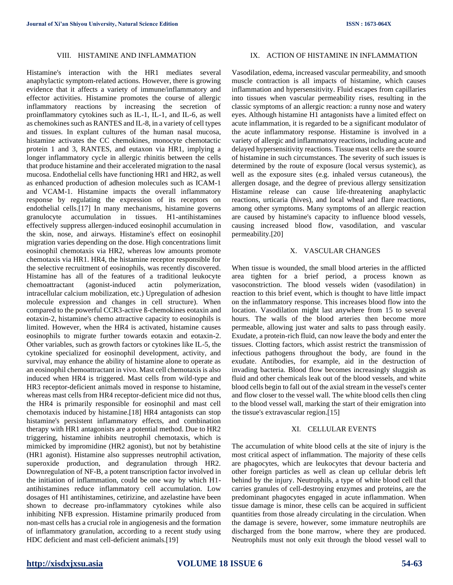#### VIII. HISTAMINE AND INFLAMMATION

Histamine's interaction with the HR1 mediates several anaphylactic symptom-related actions. However, there is growing evidence that it affects a variety of immune/inflammatory and effector activities. Histamine promotes the course of allergic inflammatory reactions by increasing the secretion of proinflammatory cytokines such as IL-1, IL-1, and IL-6, as well as chemokines such as RANTES and IL-8, in a variety of cell types and tissues. In explant cultures of the human nasal mucosa, histamine activates the CC chemokines, monocyte chemotactic protein 1 and 3, RANTES, and eutaxon via HR1, implying a longer inflammatory cycle in allergic rhinitis between the cells that produce histamine and their accelerated migration to the nasal mucosa. Endothelial cells have functioning HR1 and HR2, as well as enhanced production of adhesion molecules such as ICAM-1 and VCAM-1. Histamine impacts the overall inflammatory response by regulating the expression of its receptors on endothelial cells.[17] In many mechanisms, histamine governs granulocyte accumulation in tissues. H1-antihistamines effectively suppress allergen-induced eosinophil accumulation in the skin, nose, and airways. Histamine's effect on eosinophil migration varies depending on the dose. High concentrations limit eosinophil chemotaxis via HR2, whereas low amounts promote chemotaxis via HR1. HR4, the histamine receptor responsible for the selective recruitment of eosinophils, was recently discovered. Histamine has all of the features of a traditional leukocyte chemoattractant (agonist-induced actin polymerization, intracellular calcium mobilization, etc.) Upregulation of adhesion molecule expression and changes in cell structure). When compared to the powerful CCR3-active ß-chemokines eotaxin and eotaxin-2, histamine's chemo attractive capacity to eosinophils is limited. However, when the HR4 is activated, histamine causes eosinophils to migrate further towards eotaxin and eotaxin-2. Other variables, such as growth factors or cytokines like IL-5, the cytokine specialized for eosinophil development, activity, and survival, may enhance the ability of histamine alone to operate as an eosinophil chemoattractant in vivo. Mast cell chemotaxis is also induced when HR4 is triggered. Mast cells from wild-type and HR3 receptor-deficient animals moved in response to histamine, whereas mast cells from HR4 receptor-deficient mice did not thus, the HR4 is primarily responsible for eosinophil and mast cell chemotaxis induced by histamine.[18] HR4 antagonists can stop histamine's persistent inflammatory effects, and combination therapy with HR1 antagonists are a potential method. Due to HR2 triggering, histamine inhibits neutrophil chemotaxis, which is mimicked by impromidine (HR2 agonist), but not by betahistine (HR1 agonist). Histamine also suppresses neutrophil activation, superoxide production, and degranulation through HR2. Downregulation of NF-B, a potent transcription factor involved in the initiation of inflammation, could be one way by which H1 antihistamines reduce inflammatory cell accumulation. Low dosages of H1 antihistamines, cetirizine, and azelastine have been shown to decrease pro-inflammatory cytokines while also inhibiting NFB expression. Histamine primarily produced from non-mast cells has a crucial role in angiogenesis and the formation of inflammatory granulation, according to a recent study using HDC deficient and mast cell-deficient animals.[19]

### IX. ACTION OF HISTAMINE IN INFLAMMATION

Vasodilation, edema, increased vascular permeability, and smooth muscle contraction is all impacts of histamine, which causes inflammation and hypersensitivity. Fluid escapes from capillaries into tissues when vascular permeability rises, resulting in the classic symptoms of an allergic reaction: a runny nose and watery eyes. Although histamine H1 antagonists have a limited effect on acute inflammation, it is regarded to be a significant modulator of the acute inflammatory response. Histamine is involved in a variety of allergic and inflammatory reactions, including acute and delayed hypersensitivity reactions. Tissue mast cells are the source of histamine in such circumstances. The severity of such issues is determined by the route of exposure (local versus systemic), as well as the exposure sites (e.g. inhaled versus cutaneous), the allergen dosage, and the degree of previous allergy sensitization Histamine release can cause life-threatening anaphylactic reactions, urticaria (hives), and local wheal and flare reactions, among other symptoms. Many symptoms of an allergic reaction are caused by histamine's capacity to influence blood vessels, causing increased blood flow, vasodilation, and vascular permeability.[20]

#### X. VASCULAR CHANGES

When tissue is wounded, the small blood arteries in the afflicted area tighten for a brief period, a process known as vasoconstriction. The blood vessels widen (vasodilation) in reaction to this brief event, which is thought to have little impact on the inflammatory response. This increases blood flow into the location. Vasodilation might last anywhere from 15 to several hours. The walls of the blood arteries then become more permeable, allowing just water and salts to pass through easily. Exudate, a protein-rich fluid, can now leave the body and enter the tissues. Clotting factors, which assist restrict the transmission of infectious pathogens throughout the body, are found in the exudate. Antibodies, for example, aid in the destruction of invading bacteria. Blood flow becomes increasingly sluggish as fluid and other chemicals leak out of the blood vessels, and white blood cells begin to fall out of the axial stream in the vessel's center and flow closer to the vessel wall. The white blood cells then cling to the blood vessel wall, marking the start of their emigration into the tissue's extravascular region.[15]

#### XI. CELLULAR EVENTS

The accumulation of white blood cells at the site of injury is the most critical aspect of inflammation. The majority of these cells are phagocytes, which are leukocytes that devour bacteria and other foreign particles as well as clean up cellular debris left behind by the injury. Neutrophils, a type of white blood cell that carries granules of cell-destroying enzymes and proteins, are the predominant phagocytes engaged in acute inflammation. When tissue damage is minor, these cells can be acquired in sufficient quantities from those already circulating in the circulation. When the damage is severe, however, some immature neutrophils are discharged from the bone marrow, where they are produced. Neutrophils must not only exit through the blood vessel wall to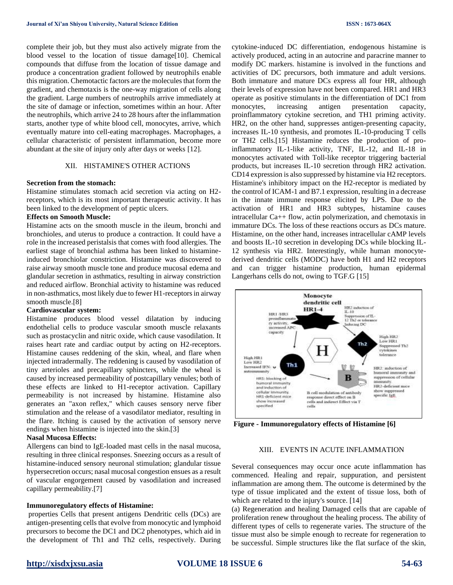complete their job, but they must also actively migrate from the blood vessel to the location of tissue damage[10]. Chemical compounds that diffuse from the location of tissue damage and produce a concentration gradient followed by neutrophils enable this migration. Chemotactic factors are the molecules that form the gradient, and chemotaxis is the one-way migration of cells along the gradient. Large numbers of neutrophils arrive immediately at the site of damage or infection, sometimes within an hour. After the neutrophils, which arrive 24 to 28 hours after the inflammation starts, another type of white blood cell, monocytes, arrive, which eventually mature into cell-eating macrophages. Macrophages, a cellular characteristic of persistent inflammation, become more abundant at the site of injury only after days or weeks [12].

## XII. HISTAMINE'S OTHER ACTIONS

#### **Secretion from the stomach:**

Histamine stimulates stomach acid secretion via acting on H2 receptors, which is its most important therapeutic activity. It has been linked to the development of peptic ulcers.

#### **Effects on Smooth Muscle:**

Histamine acts on the smooth muscle in the ileum, bronchi and bronchioles, and uterus to produce a contraction. It could have a role in the increased peristalsis that comes with food allergies. The earliest stage of bronchial asthma has been linked to histamineinduced bronchiolar constriction. Histamine was discovered to raise airway smooth muscle tone and produce mucosal edema and glandular secretion in asthmatics, resulting in airway constriction and reduced airflow. Bronchial activity to histamine was reduced in non-asthmatics, most likely due to fewer H1-receptors in airway smooth muscle.[8]

#### **Cardiovascular system:**

Histamine produces blood vessel dilatation by inducing endothelial cells to produce vascular smooth muscle relaxants such as prostacyclin and nitric oxide, which cause vasodilation. It raises heart rate and cardiac output by acting on H2-receptors. Histamine causes reddening of the skin, wheal, and flare when injected intradermally. The reddening is caused by vasodilation of tiny arterioles and precapillary sphincters, while the wheal is caused by increased permeability of postcapillary venules; both of these effects are linked to H1-receptor activation. Capillary permeability is not increased by histamine. Histamine also generates an "axon reflex," which causes sensory nerve fiber stimulation and the release of a vasodilator mediator, resulting in the flare. Itching is caused by the activation of sensory nerve endings when histamine is injected into the skin.[3]

## **Nasal Mucosa Effects:**

Allergens can bind to IgE-loaded mast cells in the nasal mucosa, resulting in three clinical responses. Sneezing occurs as a result of histamine-induced sensory neuronal stimulation; glandular tissue hypersecretion occurs; nasal mucosal congestion ensues as a result of vascular engorgement caused by vasodilation and increased capillary permeability.[7]

#### **Immunoregulatory effects of Histamine:**

properties Cells that present antigens Dendritic cells (DCs) are antigen-presenting cells that evolve from monocytic and lymphoid precursors to become the DC1 and DC2 phenotypes, which aid in the development of Th1 and Th2 cells, respectively. During cytokine-induced DC differentiation, endogenous histamine is actively produced, acting in an autocrine and paracrine manner to modify DC markers. histamine is involved in the functions and activities of DC precursors, both immature and adult versions. Both immature and mature DCs express all four HR, although their levels of expression have not been compared. HR1 and HR3 operate as positive stimulants in the differentiation of DC1 from monocytes, increasing antigen presentation capacity, proinflammatory cytokine secretion, and TH1 priming activity. HR2, on the other hand, suppresses antigen-presenting capacity, increases IL-10 synthesis, and promotes IL-10-producing T cells or TH2 cells.[15] Histamine reduces the production of proinflammatory IL-1-like activity, TNF, IL-12, and IL-18 in monocytes activated with Toll-like receptor triggering bacterial products, but increases IL-10 secretion through HR2 activation. CD14 expression is also suppressed by histamine via H2 receptors. Histamine's inhibitory impact on the H2-receptor is mediated by the control of ICAM-1 and B7.1 expression, resulting in a decrease in the innate immune response elicited by LPS. Due to the activation of HR1 and HR3 subtypes, histamine causes intracellular Ca++ flow, actin polymerization, and chemotaxis in immature DCs. The loss of these reactions occurs as DCs mature. Histamine, on the other hand, increases intracellular cAMP levels and boosts IL-10 secretion in developing DCs while blocking IL-12 synthesis via HR2. Interestingly, while human monocytederived dendritic cells (MODC) have both H1 and H2 receptors and can trigger histamine production, human epidermal Langerhans cells do not, owing to TGF.G [15]



**Figure - Immunoregulatory effects of Histamine [6]**

#### XIII. EVENTS IN ACUTE INFLAMMATION

Several consequences may occur once acute inflammation has commenced. Healing and repair, suppuration, and persistent inflammation are among them. The outcome is determined by the type of tissue implicated and the extent of tissue loss, both of which are related to the injury's source. [14]

(a) Regeneration and healing Damaged cells that are capable of proliferation renew throughout the healing process. The ability of different types of cells to regenerate varies. The structure of the tissue must also be simple enough to recreate for regeneration to be successful. Simple structures like the flat surface of the skin,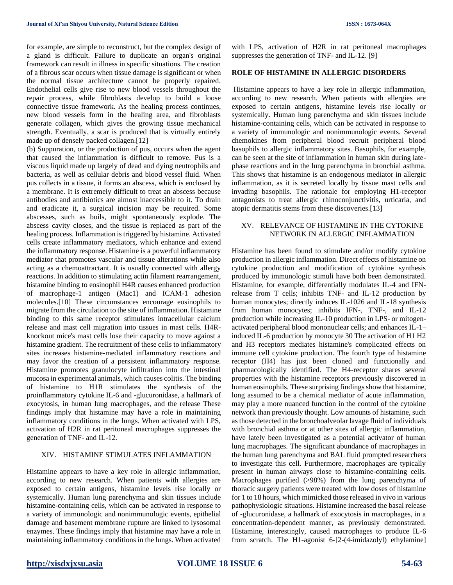for example, are simple to reconstruct, but the complex design of a gland is difficult. Failure to duplicate an organ's original framework can result in illness in specific situations. The creation of a fibrous scar occurs when tissue damage is significant or when the normal tissue architecture cannot be properly repaired. Endothelial cells give rise to new blood vessels throughout the repair process, while fibroblasts develop to build a loose connective tissue framework. As the healing process continues, new blood vessels form in the healing area, and fibroblasts generate collagen, which gives the growing tissue mechanical strength. Eventually, a scar is produced that is virtually entirely made up of densely packed collagen.[12]

(b) Suppuration, or the production of pus, occurs when the agent that caused the inflammation is difficult to remove. Pus is a viscous liquid made up largely of dead and dying neutrophils and bacteria, as well as cellular debris and blood vessel fluid. When pus collects in a tissue, it forms an abscess, which is enclosed by a membrane. It is extremely difficult to treat an abscess because antibodies and antibiotics are almost inaccessible to it. To drain and eradicate it, a surgical incision may be required. Some abscesses, such as boils, might spontaneously explode. The abscess cavity closes, and the tissue is replaced as part of the healing process. Inflammation is triggered by histamine. Activated cells create inflammatory mediators, which enhance and extend the inflammatory response. Histamine is a powerful inflammatory mediator that promotes vascular and tissue alterations while also acting as a chemoattractant. It is usually connected with allergy reactions. In addition to stimulating actin filament rearrangement, histamine binding to eosinophil H4R causes enhanced production of macrophage-1 antigen (Mac1) and ICAM-1 adhesion molecules.[10] These circumstances encourage eosinophils to migrate from the circulation to the site of inflammation. Histamine binding to this same receptor stimulates intracellular calcium release and mast cell migration into tissues in mast cells. H4Rknockout mice's mast cells lose their capacity to move against a histamine gradient. The recruitment of these cells to inflammatory sites increases histamine-mediated inflammatory reactions and may favor the creation of a persistent inflammatory response. Histamine promotes granulocyte infiltration into the intestinal mucosa in experimental animals, which causes colitis. The binding of histamine to H1R stimulates the synthesis of the proinflammatory cytokine IL-6 and -glucuronidase, a hallmark of exocytosis, in human lung macrophages, and the release These findings imply that histamine may have a role in maintaining inflammatory conditions in the lungs. When activated with LPS, activation of H2R in rat peritoneal macrophages suppresses the generation of TNF- and IL-12.

## XIV. HISTAMINE STIMULATES INFLAMMATION

Histamine appears to have a key role in allergic inflammation, according to new research. When patients with allergies are exposed to certain antigens, histamine levels rise locally or systemically. Human lung parenchyma and skin tissues include histamine-containing cells, which can be activated in response to a variety of immunologic and nonimmunologic events, epithelial damage and basement membrane rupture are linked to lysosomal enzymes. These findings imply that histamine may have a role in maintaining inflammatory conditions in the lungs. When activated

with LPS, activation of H2R in rat peritoneal macrophages suppresses the generation of TNF- and IL-12. [9]

## **ROLE OF HISTAMINE IN ALLERGIC DISORDERS**

Histamine appears to have a key role in allergic inflammation, according to new research. When patients with allergies are exposed to certain antigens, histamine levels rise locally or systemically. Human lung parenchyma and skin tissues include histamine-containing cells, which can be activated in response to a variety of immunologic and nonimmunologic events. Several chemokines from peripheral blood recruit peripheral blood basophils to allergic inflammatory sites. Basophils, for example, can be seen at the site of inflammation in human skin during latephase reactions and in the lung parenchyma in bronchial asthma. This shows that histamine is an endogenous mediator in allergic inflammation, as it is secreted locally by tissue mast cells and invading basophils. The rationale for employing H1-receptor antagonists to treat allergic rhinoconjunctivitis, urticaria, and atopic dermatitis stems from these discoveries.[13]

## XV. RELEVANCE OF HISTAMINE IN THE CYTOKINE NETWORK IN ALLERGIC INFLAMMATION

Histamine has been found to stimulate and/or modify cytokine production in allergic inflammation. Direct effects of histamine on cytokine production and modification of cytokine synthesis produced by immunologic stimuli have both been demonstrated. Histamine, for example, differentially modulates IL-4 and IFNrelease from T cells; inhibits TNF- and IL-12 production by human monocytes; directly induces IL-1026 and IL-18 synthesis from human monocytes; inhibits IFN-, TNF-, and IL-12 production while increasing IL-10 production in LPS- or mitogenactivated peripheral blood mononuclear cells; and enhances IL-1– induced IL-6 production by monocyte 30 The activation of H1 H2 and H3 receptors mediates histamine's complicated effects on immune cell cytokine production. The fourth type of histamine receptor (H4) has just been cloned and functionally and pharmacologically identified. The H4-receptor shares several properties with the histamine receptors previously discovered in human eosinophils. These surprising findings show that histamine, long assumed to be a chemical mediator of acute inflammation, may play a more nuanced function in the control of the cytokine network than previously thought. Low amounts of histamine, such as those detected in the bronchoalveolar lavage fluid of individuals with bronchial asthma or at other sites of allergic inflammation, have lately been investigated as a potential activator of human lung macrophages. The significant abundance of macrophages in the human lung parenchyma and BAL fluid prompted researchers to investigate this cell. Furthermore, macrophages are typically present in human airways close to histamine-containing cells. Macrophages purified (>98%) from the lung parenchyma of thoracic surgery patients were treated with low doses of histamine for 1 to 18 hours, which mimicked those released in vivo in various pathophysiologic situations. Histamine increased the basal release of -glucuronidase, a hallmark of exocytosis in macrophages, in a concentration-dependent manner, as previously demonstrated. Histamine, interestingly, caused macrophages to produce IL-6 from scratch. The H1-agonist 6-[2-(4-imidazolyl) ethylamine]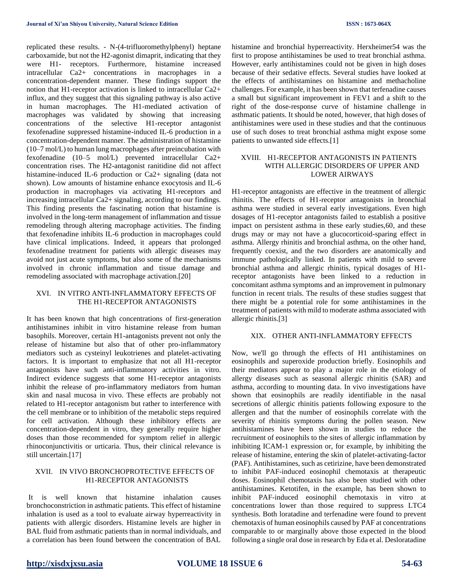replicated these results. - N-(4-trifluoromethylphenyl) heptane carboxamide, but not the H2-agonist dimaprit, indicating that they were H1- receptors. Furthermore, histamine increased intracellular Ca2+ concentrations in macrophages in a concentration-dependent manner. These findings support the notion that H1-receptor activation is linked to intracellular Ca2+ influx, and they suggest that this signaling pathway is also active in human macrophages. The H1-mediated activation of macrophages was validated by showing that increasing concentrations of the selective H1-receptor antagonist fexofenadine suppressed histamine-induced IL-6 production in a concentration-dependent manner. The administration of histamine (10–7 mol/L) to human lung macrophages after preincubation with fexofenadine (10–5 mol/L) prevented intracellular Ca2+ concentration rises. The H2-antagonist ranitidine did not affect histamine-induced IL-6 production or Ca2+ signaling (data not shown). Low amounts of histamine enhance exocytosis and IL-6 production in macrophages via activating H1-receptors and increasing intracellular Ca2+ signaling, according to our findings. This finding presents the fascinating notion that histamine is involved in the long-term management of inflammation and tissue remodeling through altering macrophage activities. The finding that fexofenadine inhibits IL-6 production in macrophages could have clinical implications. Indeed, it appears that prolonged fexofenadine treatment for patients with allergic diseases may avoid not just acute symptoms, but also some of the mechanisms involved in chronic inflammation and tissue damage and remodeling associated with macrophage activation.[20]

## XVI. IN VITRO ANTI-INFLAMMATORY EFFECTS OF THE H1-RECEPTOR ANTAGONISTS

It has been known that high concentrations of first-generation antihistamines inhibit in vitro histamine release from human basophils. Moreover, certain H1-antagonists prevent not only the release of histamine but also that of other pro-inflammatory mediators such as cysteinyl leukotrienes and platelet-activating factors. It is important to emphasize that not all H1-receptor antagonists have such anti-inflammatory activities in vitro. Indirect evidence suggests that some H1-receptor antagonists inhibit the release of pro-inflammatory mediators from human skin and nasal mucosa in vivo. These effects are probably not related to H1-receptor antagonism but rather to interference with the cell membrane or to inhibition of the metabolic steps required for cell activation. Although these inhibitory effects are concentration-dependent in vitro, they generally require higher doses than those recommended for symptom relief in allergic rhinoconjunctivitis or urticaria. Thus, their clinical relevance is still uncertain.[17]

## XVII. IN VIVO BRONCHOPROTECTIVE EFFECTS OF H1-RECEPTOR ANTAGONISTS

It is well known that histamine inhalation causes bronchoconstriction in asthmatic patients. This effect of histamine inhalation is used as a tool to evaluate airway hyperreactivity in patients with allergic disorders. Histamine levels are higher in BAL fluid from asthmatic patients than in normal individuals, and a correlation has been found between the concentration of BAL

histamine and bronchial hyperreactivity. Herxheimer54 was the first to propose antihistamines be used to treat bronchial asthma. However, early antihistamines could not be given in high doses because of their sedative effects. Several studies have looked at the effects of antihistamines on histamine and methacholine challenges. For example, it has been shown that terfenadine causes a small but significant improvement in FEV1 and a shift to the right of the dose-response curve of histamine challenge in asthmatic patients. It should be noted, however, that high doses of antihistamines were used in these studies and that the continuous use of such doses to treat bronchial asthma might expose some patients to unwanted side effects.[1]

## XVIII. H1-RECEPTOR ANTAGONISTS IN PATIENTS WITH ALLERGIC DISORDERS OF UPPER AND LOWER AIRWAYS

H1-receptor antagonists are effective in the treatment of allergic rhinitis. The effects of H1-receptor antagonists in bronchial asthma were studied in several early investigations. Even high dosages of H1-receptor antagonists failed to establish a positive impact on persistent asthma in these early studies,60, and these drugs may or may not have a glucocorticoid-sparing effect in asthma. Allergy rhinitis and bronchial asthma, on the other hand, frequently coexist, and the two disorders are anatomically and immune pathologically linked. In patients with mild to severe bronchial asthma and allergic rhinitis, typical dosages of H1 receptor antagonists have been linked to a reduction in concomitant asthma symptoms and an improvement in pulmonary function in recent trials. The results of these studies suggest that there might be a potential role for some antihistamines in the treatment of patients with mild to moderate asthma associated with allergic rhinitis.[3]

#### XIX. OTHER ANTI-INFLAMMATORY EFFECTS

Now, we'll go through the effects of H1 antihistamines on eosinophils and superoxide production briefly. Eosinophils and their mediators appear to play a major role in the etiology of allergy diseases such as seasonal allergic rhinitis (SAR) and asthma, according to mounting data. In vivo investigations have shown that eosinophils are readily identifiable in the nasal secretions of allergic rhinitis patients following exposure to the allergen and that the number of eosinophils correlate with the severity of rhinitis symptoms during the pollen season. New antihistamines have been shown in studies to reduce the recruitment of eosinophils to the sites of allergic inflammation by inhibiting ICAM-1 expression or, for example, by inhibiting the release of histamine, entering the skin of platelet-activating-factor (PAF). Antihistamines, such as cetirizine, have been demonstrated to inhibit PAF-induced eosinophil chemotaxis at therapeutic doses. Eosinophil chemotaxis has also been studied with other antihistamines. Ketotifen, in the example, has been shown to inhibit PAF-induced eosinophil chemotaxis in vitro at concentrations lower than those required to suppress LTC4 synthesis. Both loratadine and terfenadine were found to prevent chemotaxis of human eosinophils caused by PAF at concentrations comparable to or marginally above those expected in the blood following a single oral dose in research by Eda et al. Desloratadine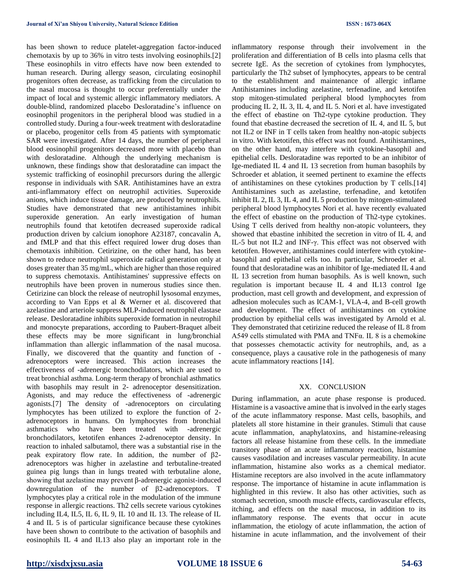has been shown to reduce platelet-aggregation factor-induced chemotaxis by up to 36% in vitro tests involving eosinophils.[2] These eosinophils in vitro effects have now been extended to human research. During allergy season, circulating eosinophil progenitors often decrease, as trafficking from the circulation to the nasal mucosa is thought to occur preferentially under the impact of local and systemic allergic inflammatory mediators. A double-blind, randomized placebo Desloratadine's influence on eosinophil progenitors in the peripheral blood was studied in a controlled study. During a four-week treatment with desloratadine or placebo, progenitor cells from 45 patients with symptomatic SAR were investigated. After 14 days, the number of peripheral blood eosinophil progenitors decreased more with placebo than with desloratadine. Although the underlying mechanism is unknown, these findings show that desloratadine can impact the systemic trafficking of eosinophil precursors during the allergic response in individuals with SAR. Antihistamines have an extra anti-inflammatory effect on neutrophil activities. Superoxide anions, which induce tissue damage, are produced by neutrophils. Studies have demonstrated that new antihistamines inhibit superoxide generation. An early investigation of human neutrophils found that ketotifen decreased superoxide radical production driven by calcium ionophore A23187, concavalin A, and fMLP and that this effect required lower drug doses than chemotaxis inhibition. Cetirizine, on the other hand, has been shown to reduce neutrophil superoxide radical generation only at doses greater than 35 mg/mL, which are higher than those required to suppress chemotaxis. Antihistamines' suppressive effects on neutrophils have been proven in numerous studies since then. Cetirizine can block the release of neutrophil lysosomal enzymes, according to Van Epps et al & Werner et al. discovered that azelastine and arteriole suppress MLP-induced neutrophil elastase release. Desloratadine inhibits superoxide formation in neutrophil and monocyte preparations, according to Paubert-Braquet albeit these effects may be more significant in lung/bronchial inflammation than allergic inflammation of the nasal mucosa. Finally, we discovered that the quantity and function of adrenoceptors were increased. This action increases the effectiveness of -adrenergic bronchodilators, which are used to treat bronchial asthma. Long-term therapy of bronchial asthmatics with basophils may result in 2- adrenoceptor desensitization. Agonists, and may reduce the effectiveness of -adrenergic agonists.[7] The density of -adrenoceptors on circulating lymphocytes has been utilized to explore the function of 2 adrenoceptors in humans. On lymphocytes from bronchial asthmatics who have been treated with -adrenergic bronchodilators, ketotifen enhances 2-adrenoceptor density. In reaction to inhaled salbutamol, there was a substantial rise in the peak expiratory flow rate. In addition, the number of β2 adrenoceptors was higher in azelastine and terbutaline-treated guinea pig lungs than in lungs treated with terbutaline alone, showing that azelastine may prevent β-adrenergic agonist-induced downregulation of the number of β2-adrenoceptors. T lymphocytes play a critical role in the modulation of the immune response in allergic reactions. Th2 cells secrete various cytokines including IL4, IL5, IL 6, IL 9, IL 10 and IL 13. The release of IL 4 and IL 5 is of particular significance because these cytokines have been shown to contribute to the activation of basophils and eosinophils IL 4 and IL13 also play an important role in the

inflammatory response through their involvement in the proliferation and differentiation of B cells into plasma cells that secrete IgE. As the secretion of cytokines from lymphocytes, particularly the Th2 subset of lymphocytes, appears to be central to the establishment and maintenance of allergic inflame Antihistamines including azelastine, terfenadine, and ketotifen stop mitogen-stimulated peripheral blood lymphocytes from producing IL 2, IL 3, IL 4, and IL 5. Nori et al. have investigated the effect of ebastine on Th2-type cytokine production. They found that ebastine decreased the secretion of IL 4, and IL 5, but not IL2 or INF in T cells taken from healthy non-atopic subjects in vitro. With ketotifen, this effect was not found. Antihistamines, on the other hand, may interfere with cytokine-basophil and epithelial cells. Desloratadine was reported to be an inhibitor of Ige-mediated IL 4 and IL 13 secretion from human basophils by Schroeder et ablation, it seemed pertinent to examine the effects of antihistamines on these cytokines production by T cells.[14] Antihistamines such as azelastine, terfenadine, and ketotifen inhibit IL 2, IL 3, IL 4, and IL 5 production by mitogen-stimulated peripheral blood lymphocytes Nori et al. have recently evaluated the effect of ebastine on the production of Th2-type cytokines. Using T cells derived from healthy non-atopic volunteers, they showed that ebastine inhibited the secretion in vitro of IL 4, and IL-5 but not IL2 and INF-γ. This effect was not observed with ketotifen. However, antihistamines could interfere with cytokinebasophil and epithelial cells too. In particular, Schroeder et al. found that desloratadine was an inhibitor of Ige-mediated IL 4 and IL 13 secretion from human basophils. As is well known, such regulation is important because IL 4 and IL13 control Ige production, mast cell growth and development, and expression of adhesion molecules such as ICAM-1, VLA-4, and B-cell growth and development. The effect of antihistamines on cytokine production by epithelial cells was investigated by Arnold et al. They demonstrated that cetirizine reduced the release of IL 8 from A549 cells stimulated with PMA and TNFα. IL 8 is a chemokine that possesses chemotactic activity for neutrophils, and, as a consequence, plays a causative role in the pathogenesis of many acute inflammatory reactions [14].

## XX. CONCLUSION

During inflammation, an acute phase response is produced. Histamine is a vasoactive amine that is involved in the early stages of the acute inflammatory response. Mast cells, basophils, and platelets all store histamine in their granules. Stimuli that cause acute inflammation, anaphylatoxins, and histamine-releasing factors all release histamine from these cells. In the immediate transitory phase of an acute inflammatory reaction, histamine causes vasodilation and increases vascular permeability. In acute inflammation, histamine also works as a chemical mediator. Histamine receptors are also involved in the acute inflammatory response. The importance of histamine in acute inflammation is highlighted in this review. It also has other activities, such as stomach secretion, smooth muscle effects, cardiovascular effects, itching, and effects on the nasal mucosa, in addition to its inflammatory response. The events that occur in acute inflammation, the etiology of acute inflammation, the action of histamine in acute inflammation, and the involvement of their